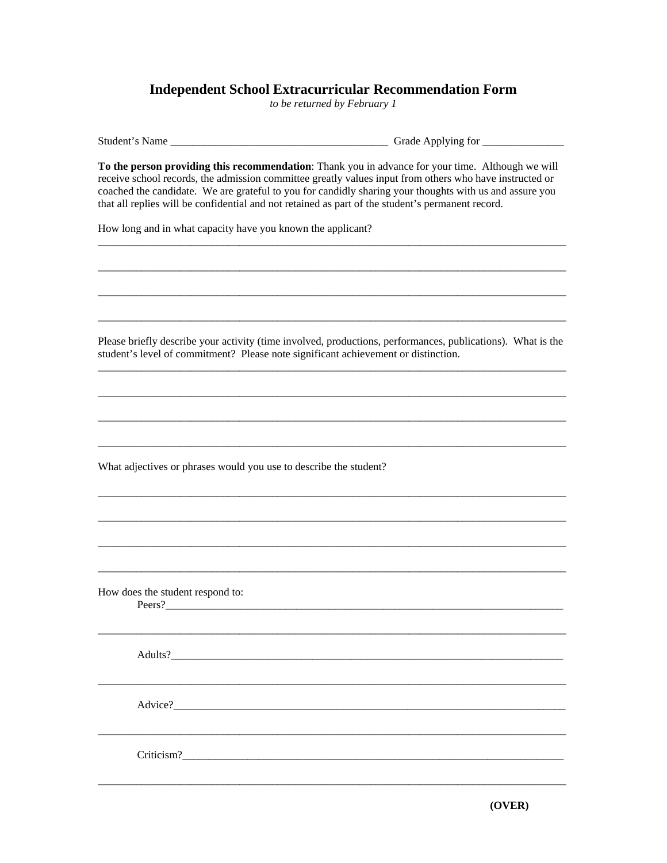## **Independent School Extracurricular Recommendation Form**

*to be returned by February 1* 

| Student's Name                                                                                                                                                                                                                                                                                                                                                                                                               | Grade Applying for |
|------------------------------------------------------------------------------------------------------------------------------------------------------------------------------------------------------------------------------------------------------------------------------------------------------------------------------------------------------------------------------------------------------------------------------|--------------------|
| To the person providing this recommendation: Thank you in advance for your time. Although we will<br>receive school records, the admission committee greatly values input from others who have instructed or<br>coached the candidate. We are grateful to you for candidly sharing your thoughts with us and assure you<br>that all replies will be confidential and not retained as part of the student's permanent record. |                    |
| How long and in what capacity have you known the applicant?                                                                                                                                                                                                                                                                                                                                                                  |                    |
|                                                                                                                                                                                                                                                                                                                                                                                                                              |                    |
|                                                                                                                                                                                                                                                                                                                                                                                                                              |                    |
|                                                                                                                                                                                                                                                                                                                                                                                                                              |                    |
| Please briefly describe your activity (time involved, productions, performances, publications). What is the<br>student's level of commitment? Please note significant achievement or distinction.                                                                                                                                                                                                                            |                    |
|                                                                                                                                                                                                                                                                                                                                                                                                                              |                    |
|                                                                                                                                                                                                                                                                                                                                                                                                                              |                    |
|                                                                                                                                                                                                                                                                                                                                                                                                                              |                    |
| What adjectives or phrases would you use to describe the student?                                                                                                                                                                                                                                                                                                                                                            |                    |
|                                                                                                                                                                                                                                                                                                                                                                                                                              |                    |
|                                                                                                                                                                                                                                                                                                                                                                                                                              |                    |
|                                                                                                                                                                                                                                                                                                                                                                                                                              |                    |
| How does the student respond to:<br>Peers?                                                                                                                                                                                                                                                                                                                                                                                   |                    |
|                                                                                                                                                                                                                                                                                                                                                                                                                              |                    |
|                                                                                                                                                                                                                                                                                                                                                                                                                              |                    |
|                                                                                                                                                                                                                                                                                                                                                                                                                              |                    |
|                                                                                                                                                                                                                                                                                                                                                                                                                              |                    |
|                                                                                                                                                                                                                                                                                                                                                                                                                              |                    |
|                                                                                                                                                                                                                                                                                                                                                                                                                              |                    |